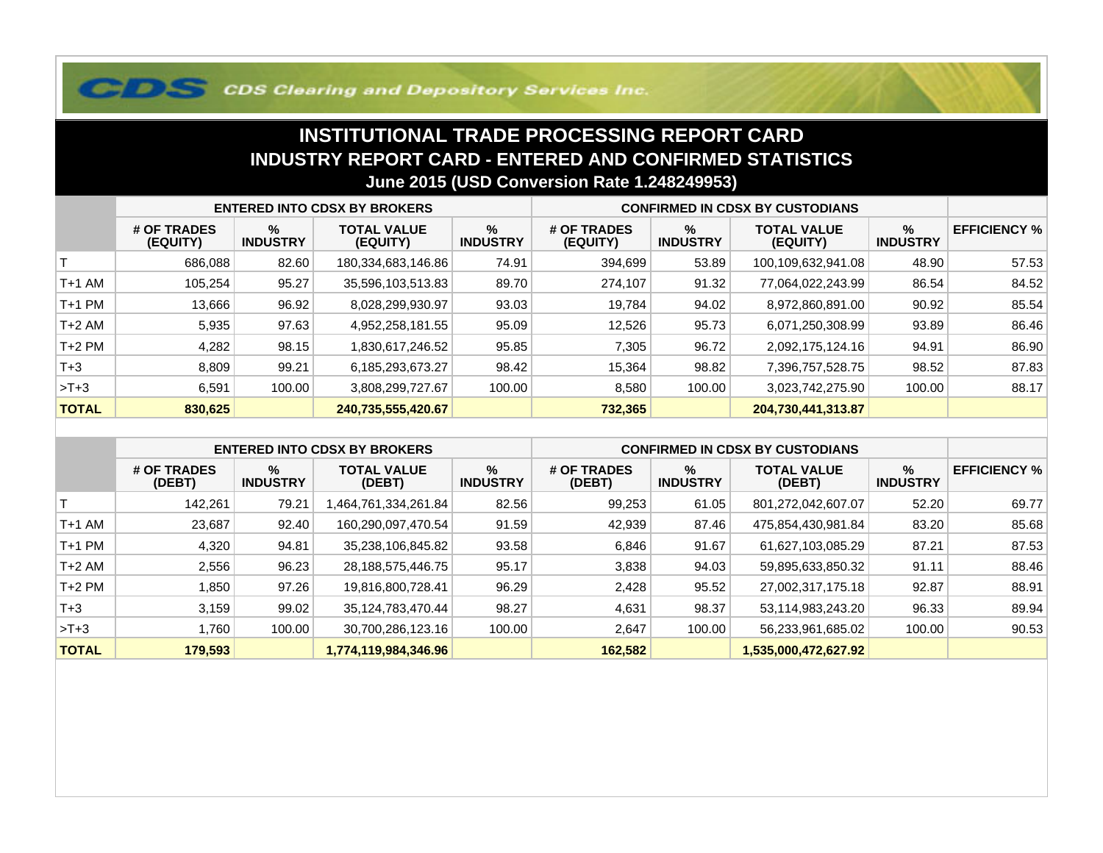## **COS Clearing and Depository Services Inc.**

## **INSTITUTIONAL TRADE PROCESSING REPORT CARD INDUSTRY REPORT CARD - ENTERED AND CONFIRMED STATISTICSJune 2015 (USD Conversion Rate 1.248249953)**

|              | <b>ENTERED INTO CDSX BY BROKERS</b> |                         |                                |                         | <b>CONFIRMED IN CDSX BY CUSTODIANS</b> |                         |                                |                         |                     |
|--------------|-------------------------------------|-------------------------|--------------------------------|-------------------------|----------------------------------------|-------------------------|--------------------------------|-------------------------|---------------------|
|              | # OF TRADES<br>(EQUITY)             | $\%$<br><b>INDUSTRY</b> | <b>TOTAL VALUE</b><br>(EQUITY) | $\%$<br><b>INDUSTRY</b> | # OF TRADES<br>(EQUITY)                | $\%$<br><b>INDUSTRY</b> | <b>TOTAL VALUE</b><br>(EQUITY) | $\%$<br><b>INDUSTRY</b> | <b>EFFICIENCY %</b> |
|              | 686,088                             | 82.60                   | 180,334,683,146.86             | 74.91                   | 394,699                                | 53.89                   | 100,109,632,941.08             | 48.90                   | 57.53               |
| T+1 AM       | 105.254                             | 95.27                   | 35,596,103,513.83              | 89.70                   | 274,107                                | 91.32                   | 77,064,022,243.99              | 86.54                   | 84.52               |
| T+1 PM       | 13,666                              | 96.92                   | 8,028,299,930.97               | 93.03                   | 19,784                                 | 94.02                   | 8,972,860,891.00               | 90.92                   | 85.54               |
| T+2 AM       | 5,935                               | 97.63                   | 4,952,258,181.55               | 95.09                   | 12.526                                 | 95.73                   | 6,071,250,308.99               | 93.89                   | 86.46               |
| $T+2$ PM     | 4,282                               | 98.15                   | 1,830,617,246.52               | 95.85                   | 7,305                                  | 96.72                   | 2,092,175,124.16               | 94.91                   | 86.90               |
| $T + 3$      | 8,809                               | 99.21                   | 6,185,293,673.27               | 98.42                   | 15,364                                 | 98.82                   | 7,396,757,528.75               | 98.52                   | 87.83               |
| $>T+3$       | 6,591                               | 100.00                  | 3,808,299,727.67               | 100.00                  | 8,580                                  | 100.00                  | 3,023,742,275.90               | 100.00                  | 88.17               |
| <b>TOTAL</b> | 830,625                             |                         | 240,735,555,420.67             |                         | 732,365                                |                         | 204,730,441,313.87             |                         |                     |

|              | <b>ENTERED INTO CDSX BY BROKERS</b> |                         |                              |                         | <b>CONFIRMED IN CDSX BY CUSTODIANS</b> |                         |                              |                      |                     |
|--------------|-------------------------------------|-------------------------|------------------------------|-------------------------|----------------------------------------|-------------------------|------------------------------|----------------------|---------------------|
|              | # OF TRADES<br>(DEBT)               | $\%$<br><b>INDUSTRY</b> | <b>TOTAL VALUE</b><br>(DEBT) | $\%$<br><b>INDUSTRY</b> | # OF TRADES<br>(DEBT)                  | $\%$<br><b>INDUSTRY</b> | <b>TOTAL VALUE</b><br>(DEBT) | %<br><b>INDUSTRY</b> | <b>EFFICIENCY %</b> |
|              | 142.261                             | 79.21                   | .464,761,334,261.84          | 82.56                   | 99,253                                 | 61.05                   | 801,272,042,607.07           | 52.20                | 69.77               |
| $T+1$ AM     | 23.687                              | 92.40                   | 160,290,097,470.54           | 91.59                   | 42,939                                 | 87.46                   | 475,854,430,981.84           | 83.20                | 85.68               |
| $T+1$ PM     | 4,320                               | 94.81                   | 35,238,106,845.82            | 93.58                   | 6,846                                  | 91.67                   | 61,627,103,085.29            | 87.21                | 87.53               |
| $T+2$ AM     | 2,556                               | 96.23                   | 28,188,575,446.75            | 95.17                   | 3,838                                  | 94.03                   | 59,895,633,850.32            | 91.11                | 88.46               |
| $T+2$ PM     | .850                                | 97.26                   | 19,816,800,728.41            | 96.29                   | 2,428                                  | 95.52                   | 27,002,317,175.18            | 92.87                | 88.91               |
| $T+3$        | 3,159                               | 99.02                   | 35,124,783,470.44            | 98.27                   | 4,631                                  | 98.37                   | 53,114,983,243.20            | 96.33                | 89.94               |
| $>T+3$       | .760                                | 100.00                  | 30,700,286,123.16            | 100.00                  | 2,647                                  | 100.00                  | 56,233,961,685.02            | 100.00               | 90.53               |
| <b>TOTAL</b> | 179,593                             |                         | 1,774,119,984,346.96         |                         | 162,582                                |                         | 1,535,000,472,627.92         |                      |                     |